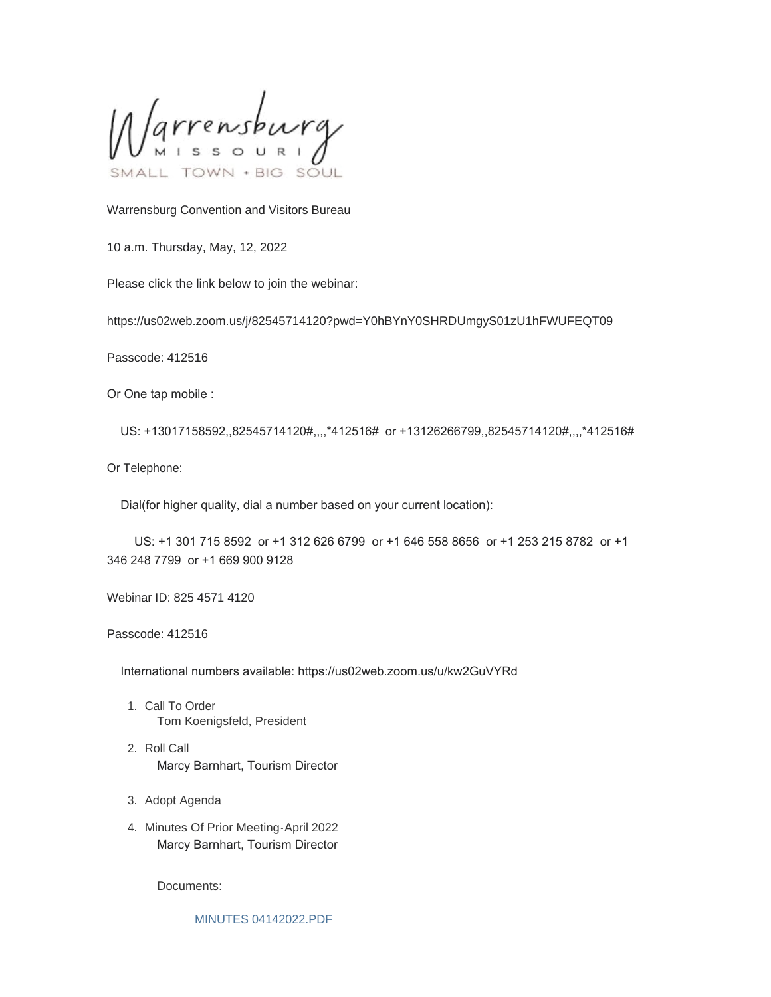Varrensburg SOUL

Warrensburg Convention and Visitors Bureau

10 a.m. Thursday, May, 12, 2022

Please click the link below to join the webinar:

https://us02web.zoom.us/j/82545714120?pwd=Y0hBYnY0SHRDUmgyS01zU1hFWUFEQT09

Passcode: 412516

Or One tap mobile :

US: +13017158592,,82545714120#,,,,\*412516# or +13126266799,,82545714120#,,,,\*412516#

Or Telephone:

Dial(for higher quality, dial a number based on your current location):

 US: +1 301 715 8592 or +1 312 626 6799 or +1 646 558 8656 or +1 253 215 8782 or +1 346 248 7799 or +1 669 900 9128

Webinar ID: 825 4571 4120

Passcode: 412516

International numbers available: https://us02web.zoom.us/u/kw2GuVYRd

- 1. Call To Order Tom Koenigsfeld, President
- 2. Roll Call Marcy Barnhart, Tourism Director
- 3. Adopt Agenda
- 4. Minutes Of Prior Meeting-April 2022 Marcy Barnhart, Tourism Director

Documents:

[MINUTES 04142022.PDF](https://www.warrensburg-mo.com/AgendaCenter/ViewFile/Item/6589?fileID=11084)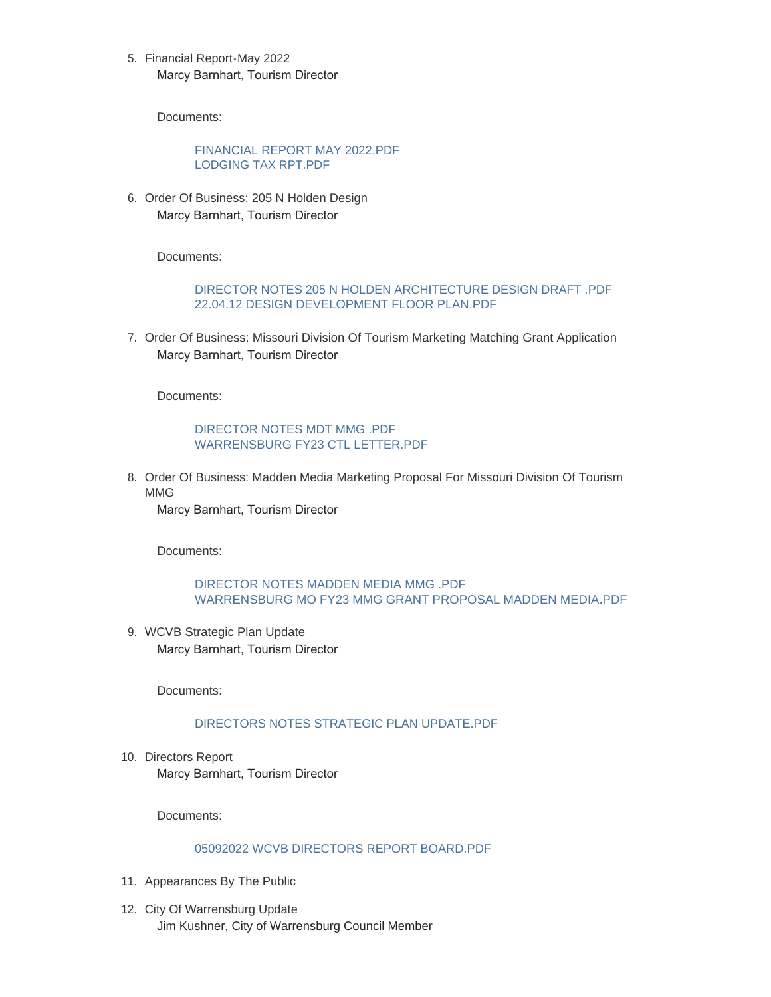5. Financial Report-May 2022 Marcy Barnhart, Tourism Director

Documents:

## [FINANCIAL REPORT MAY 2022.PDF](https://www.warrensburg-mo.com/AgendaCenter/ViewFile/Item/6590?fileID=11085) [LODGING TAX RPT.PDF](https://www.warrensburg-mo.com/AgendaCenter/ViewFile/Item/6590?fileID=11086)

6. Order Of Business: 205 N Holden Design Marcy Barnhart, Tourism Director

Documents:

## [DIRECTOR NOTES 205 N HOLDEN ARCHITECTURE DESIGN DRAFT .PDF](https://www.warrensburg-mo.com/AgendaCenter/ViewFile/Item/6591?fileID=11087) [22.04.12 DESIGN DEVELOPMENT FLOOR PLAN.PDF](https://www.warrensburg-mo.com/AgendaCenter/ViewFile/Item/6591?fileID=11088)

7. Order Of Business: Missouri Division Of Tourism Marketing Matching Grant Application Marcy Barnhart, Tourism Director

Documents:

### [DIRECTOR NOTES MDT MMG .PDF](https://www.warrensburg-mo.com/AgendaCenter/ViewFile/Item/6592?fileID=11089) [WARRENSBURG FY23 CTL LETTER.PDF](https://www.warrensburg-mo.com/AgendaCenter/ViewFile/Item/6592?fileID=11090)

8. Order Of Business: Madden Media Marketing Proposal For Missouri Division Of Tourism MMG

Marcy Barnhart, Tourism Director

Documents:

# [DIRECTOR NOTES MADDEN MEDIA MMG .PDF](https://www.warrensburg-mo.com/AgendaCenter/ViewFile/Item/6593?fileID=11091) [WARRENSBURG MO FY23 MMG GRANT PROPOSAL MADDEN MEDIA.PDF](https://www.warrensburg-mo.com/AgendaCenter/ViewFile/Item/6593?fileID=11092)

WCVB Strategic Plan Update 9. Marcy Barnhart, Tourism Director

Documents:

## [DIRECTORS NOTES STRATEGIC PLAN UPDATE.PDF](https://www.warrensburg-mo.com/AgendaCenter/ViewFile/Item/6594?fileID=11093)

10. Directors Report Marcy Barnhart, Tourism Director

Documents:

### 05092022 WCVB DIRECTORS REPORT BOARD PDF

- 11. Appearances By The Public
- 12. City Of Warrensburg Update Jim Kushner, City of Warrensburg Council Member